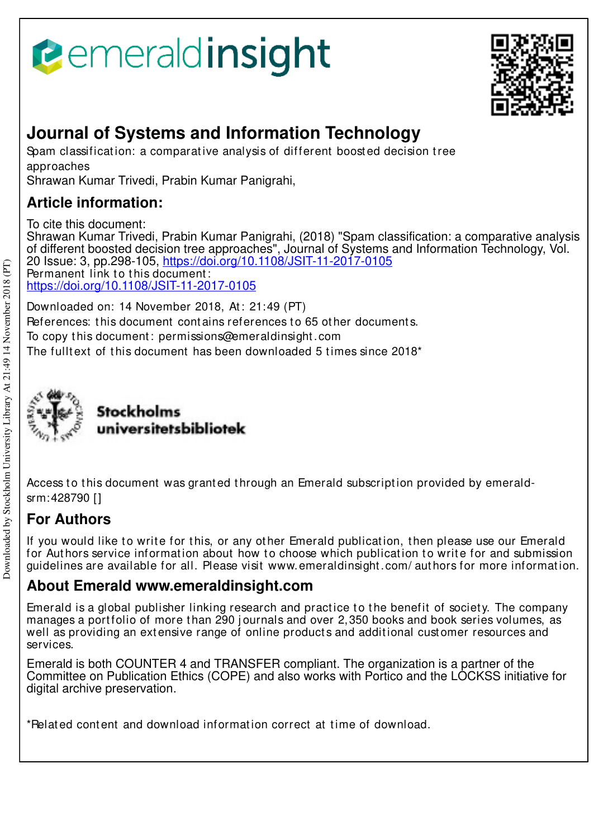# emeraldinsight



## **Journal of Systems and Information Technology**

Spam classification: a comparative analysis of different boosted decision tree approaches

Shrawan Kumar Trivedi, Prabin Kumar Panigrahi,

## **Article information:**

To cite this document: Shrawan Kumar Trivedi, Prabin Kumar Panigrahi, (2018) "Spam classification: a comparative analysis of different boosted decision tree approaches", Journal of Systems and Information Technology, Vol. 20 Issue: 3, pp.298-105, https://doi.org/10.1108/JSIT-11-2017-0105 Permanent link to this document: https://doi.org/10.1108/JSIT-11-2017-0105

Downloaded on: 14 November 2018, At : 21:49 (PT) References: this document contains references to 65 other documents. To copy t his document : permissions@emeraldinsight .com The fulltext of this document has been downloaded  $5$  times since 2018 $^*$ 



Access to this document was granted through an Emerald subscription provided by emeraldsrm:428790 []

## **For Authors**

If you would like to write for this, or any other Emerald publication, then please use our Emerald for Authors service information about how to choose which publication to write for and submission guidelines are available for all. Please visit www.emeraldinsight.com/ authors for more information.

### **About Emerald www.emeraldinsight.com**

universitetsbibliotek

**Stockholms** 

Emerald is a global publisher linking research and practice to the benefit of society. The company manages a portfolio of more than 290 journals and over 2,350 books and book series volumes, as well as providing an extensive range of online products and additional customer resources and services.

Emerald is both COUNTER 4 and TRANSFER compliant. The organization is a partner of the Committee on Publication Ethics (COPE) and also works with Portico and the LOCKSS initiative for digital archive preservation.

\*Related content and download information correct at time of download.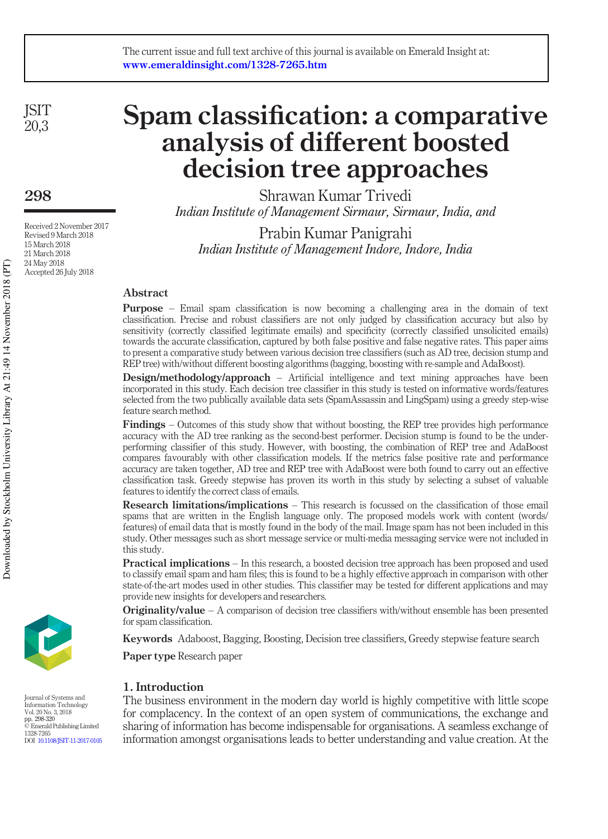**ISIT** 20,3

298

Received 2 November 2017 Revised 9 March 2018 15 March 2018 21 March 2018

24 May 2018 Accepted 26 July 2018

## Spam classification: a comparative analysis of different boosted decision tree approaches

Shrawan Kumar Trivedi *Indian Institute of Management Sirmaur, Sirmaur, India, and*

Prabin Kumar Panigrahi *Indian Institute of Management Indore, Indore, India*

#### Abstract

Purpose – Email spam classification is now becoming a challenging area in the domain of text classification. Precise and robust classifiers are not only judged by classification accuracy but also by sensitivity (correctly classified legitimate emails) and specificity (correctly classified unsolicited emails) towards the accurate classification, captured by both false positive and false negative rates. This paper aims to present a comparative study between various decision tree classifiers (such as AD tree, decision stump and REP tree) with/without different boosting algorithms (bagging, boosting with re-sample and AdaBoost).

Design/methodology/approach – Artificial intelligence and text mining approaches have been incorporated in this study. Each decision tree classifier in this study is tested on informative words/features selected from the two publically available data sets (SpamAssassin and LingSpam) using a greedy step-wise feature search method.

Findings – Outcomes of this study show that without boosting, the REP tree provides high performance accuracy with the AD tree ranking as the second-best performer. Decision stump is found to be the underperforming classifier of this study. However, with boosting, the combination of REP tree and AdaBoost compares favourably with other classification models. If the metrics false positive rate and performance accuracy are taken together, AD tree and REP tree with AdaBoost were both found to carry out an effective classification task. Greedy stepwise has proven its worth in this study by selecting a subset of valuable features to identify the correct class of emails.

Research limitations/implications – This research is focussed on the classification of those email spams that are written in the English language only. The proposed models work with content (words/ features) of email data that is mostly found in the body of the mail. Image spam has not been included in this study. Other messages such as short message service or multi-media messaging service were not included in this study.

Practical implications – In this research, a boosted decision tree approach has been proposed and used to classify email spam and ham files; this is found to be a highly effective approach in comparison with other state-of-the-art modes used in other studies. This classifier may be tested for different applications and may provide new insights for developers and researchers.

**Originality/value** – A comparison of decision tree classifiers with/without ensemble has been presented for spam classification.

Keywords Adaboost, Bagging, Boosting, Decision tree classifiers, Greedy stepwise feature search

Paper type Research paper

#### 1. Introduction

The business environment in the modern day world is highly competitive with little scope for complacency. In the context of an open system of communications, the exchange and sharing of information has become indispensable for organisations. A seamless exchange of information amongst organisations leads to better understanding and value creation. At the



Journal of Systems and Information Technology Vol. 20 No. 3, 2018 pp. 298-320 © Emerald Publishing Limited 1328-7265 DOI 10.1108/JSIT-11-2017-0105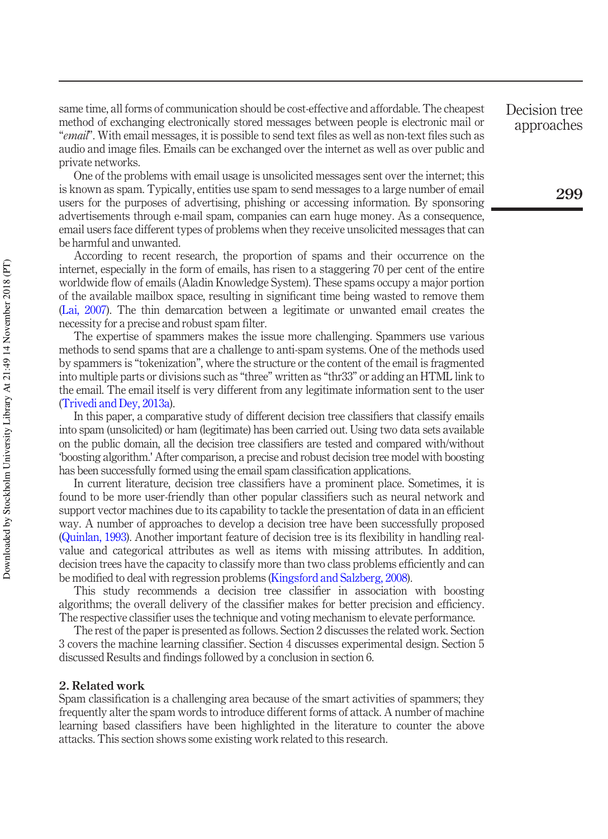same time, all forms of communication should be cost-effective and affordable. The cheapest method of exchanging electronically stored messages between people is electronic mail or "*email*". With email messages, it is possible to send text files as well as non-text files such as audio and image files. Emails can be exchanged over the internet as well as over public and private networks.

One of the problems with email usage is unsolicited messages sent over the internet; this is known as spam. Typically, entities use spam to send messages to a large number of email users for the purposes of advertising, phishing or accessing information. By sponsoring advertisements through e-mail spam, companies can earn huge money. As a consequence, email users face different types of problems when they receive unsolicited messages that can be harmful and unwanted.

According to recent research, the proportion of spams and their occurrence on the internet, especially in the form of emails, has risen to a staggering 70 per cent of the entire worldwide flow of emails (Aladin Knowledge System). These spams occupy a major portion of the available mailbox space, resulting in significant time being wasted to remove them (Lai, 2007). The thin demarcation between a legitimate or unwanted email creates the necessity for a precise and robust spam filter.

The expertise of spammers makes the issue more challenging. Spammers use various methods to send spams that are a challenge to anti-spam systems. One of the methods used by spammers is "tokenization", where the structure or the content of the email is fragmented into multiple parts or divisions such as "three" written as "thr33" or adding an HTML link to the email. The email itself is very different from any legitimate information sent to the user (Trivedi and Dey, 2013a).

In this paper, a comparative study of different decision tree classifiers that classify emails into spam (unsolicited) or ham (legitimate) has been carried out. Using two data sets available on the public domain, all the decision tree classifiers are tested and compared with/without 'boosting algorithm.' After comparison, a precise and robust decision tree model with boosting has been successfully formed using the email spam classification applications.

In current literature, decision tree classifiers have a prominent place. Sometimes, it is found to be more user-friendly than other popular classifiers such as neural network and support vector machines due to its capability to tackle the presentation of data in an efficient way. A number of approaches to develop a decision tree have been successfully proposed (Quinlan, 1993). Another important feature of decision tree is its flexibility in handling realvalue and categorical attributes as well as items with missing attributes. In addition, decision trees have the capacity to classify more than two class problems efficiently and can be modified to deal with regression problems (Kingsford and Salzberg, 2008).

This study recommends a decision tree classifier in association with boosting algorithms; the overall delivery of the classifier makes for better precision and efficiency. The respective classifier uses the technique and voting mechanism to elevate performance.

The rest of the paper is presented as follows. Section 2 discusses the related work. Section 3 covers the machine learning classifier. Section 4 discusses experimental design. Section 5 discussed Results and findings followed by a conclusion in section 6.

#### 2. Related work

Spam classification is a challenging area because of the smart activities of spammers; they frequently alter the spam words to introduce different forms of attack. A number of machine learning based classifiers have been highlighted in the literature to counter the above attacks. This section shows some existing work related to this research.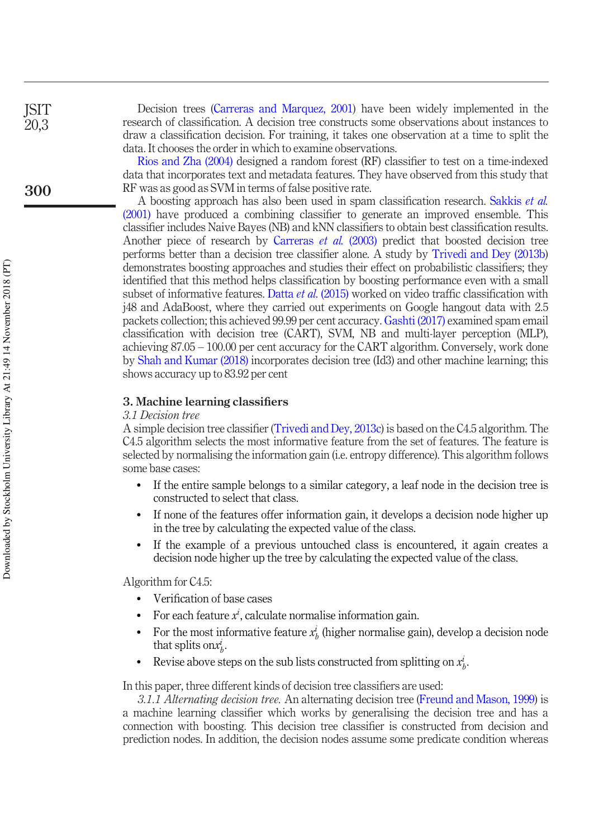Decision trees (Carreras and Marquez, 2001) have been widely implemented in the research of classification. A decision tree constructs some observations about instances to draw a classification decision. For training, it takes one observation at a time to split the data. It chooses the order in which to examine observations.

Rios and Zha (2004) designed a random forest (RF) classifier to test on a time-indexed data that incorporates text and metadata features. They have observed from this study that RF was as good as SVM in terms of false positive rate.

A boosting approach has also been used in spam classification research. Sakkis *et al.* (2001) have produced a combining classifier to generate an improved ensemble. This classifier includes Naive Bayes (NB) and kNN classifiers to obtain best classification results. Another piece of research by Carreras *et al.* (2003) predict that boosted decision tree performs better than a decision tree classifier alone. A study by Trivedi and Dey (2013b) demonstrates boosting approaches and studies their effect on probabilistic classifiers; they identified that this method helps classification by boosting performance even with a small subset of informative features. Datta *et al*. (2015) worked on video traffic classification with j48 and AdaBoost, where they carried out experiments on Google hangout data with 2.5 packets collection; this achieved 99.99 per cent accuracy. Gashti (2017) examined spam email classification with decision tree (CART), SVM, NB and multi-layer perception (MLP), achieving 87.05 – 100.00 per cent accuracy for the CART algorithm. Conversely, work done by Shah and Kumar (2018) incorporates decision tree (Id3) and other machine learning; this shows accuracy up to 83.92 per cent

#### 3. Machine learning classifiers

#### *3.1 Decision tree*

A simple decision tree classifier (Trivedi and Dey, 2013c) is based on the C4.5 algorithm. The C4.5 algorithm selects the most informative feature from the set of features. The feature is selected by normalising the information gain (i.e. entropy difference). This algorithm follows some base cases:

- If the entire sample belongs to a similar category, a leaf node in the decision tree is constructed to select that class.
- If none of the features offer information gain, it develops a decision node higher up in the tree by calculating the expected value of the class.
- If the example of a previous untouched class is encountered, it again creates a decision node higher up the tree by calculating the expected value of the class.

Algorithm for C4.5:

- Verification of base cases
- For each feature  $x^i$ , calculate normalise information gain.
- For the most informative feature  $x_b^i$  (higher normalise gain), develop a decision node that splits on  $x_b^i$ .
- External Revise above steps on the sub lists constructed from splitting on  $x_b^i$ .

In this paper, three different kinds of decision tree classifiers are used:

*3.1.1 Alternating decision tree.* An alternating decision tree (Freund and Mason, 1999) is a machine learning classifier which works by generalising the decision tree and has a connection with boosting. This decision tree classifier is constructed from decision and prediction nodes. In addition, the decision nodes assume some predicate condition whereas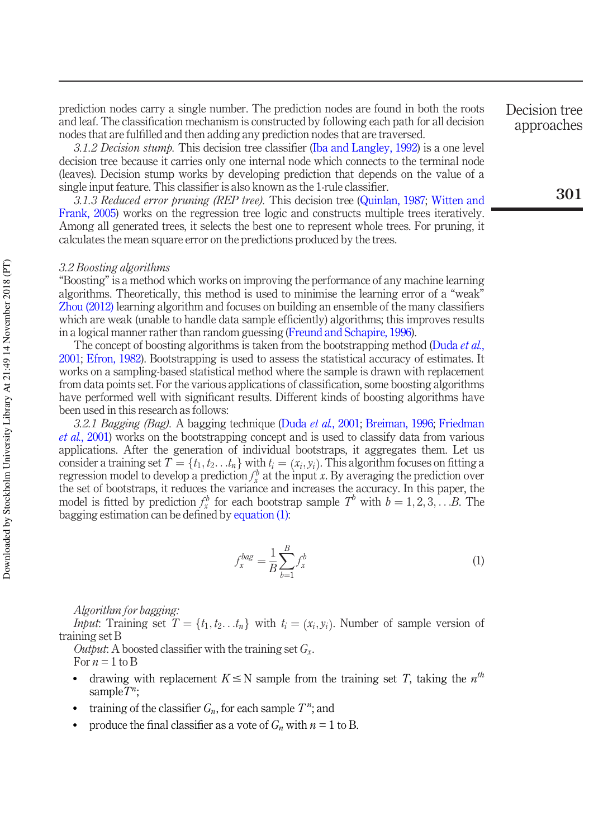prediction nodes carry a single number. The prediction nodes are found in both the roots and leaf. The classification mechanism is constructed by following each path for all decision nodes that are fulfilled and then adding any prediction nodes that are traversed.

*3.1.2 Decision stump.* This decision tree classifier (Iba and Langley, 1992) is a one level decision tree because it carries only one internal node which connects to the terminal node (leaves). Decision stump works by developing prediction that depends on the value of a single input feature. This classifier is also known as the 1-rule classifier.

*3.1.3 Reduced error pruning (REP tree).* This decision tree (Quinlan, 1987; Witten and Frank, 2005) works on the regression tree logic and constructs multiple trees iteratively. Among all generated trees, it selects the best one to represent whole trees. For pruning, it calculates the mean square error on the predictions produced by the trees.

#### *3.2 Boosting algorithms*

"Boosting" is a method which works on improving the performance of any machine learning algorithms. Theoretically, this method is used to minimise the learning error of a "weak" Zhou (2012) learning algorithm and focuses on building an ensemble of the many classifiers which are weak (unable to handle data sample efficiently) algorithms; this improves results in a logical manner rather than random guessing (Freund and Schapire, 1996).

The concept of boosting algorithms is taken from the bootstrapping method (Duda *et al.*, 2001; Efron, 1982). Bootstrapping is used to assess the statistical accuracy of estimates. It works on a sampling-based statistical method where the sample is drawn with replacement from data points set. For the various applications of classification, some boosting algorithms have performed well with significant results. Different kinds of boosting algorithms have been used in this research as follows:

*3.2.1 Bagging (Bag).* A bagging technique (Duda *et al.*, 2001; Breiman, 1996; Friedman *et al.*, 2001) works on the bootstrapping concept and is used to classify data from various applications. After the generation of individual bootstraps, it aggregates them. Let us consider a training set  $T = \{t_1, t_2, \ldots, t_n\}$  with  $t_i = (x_i, y_i)$ . This algorithm focuses on fitting a regression model to develop a prediction  $f_x^b$  at the input *x*. By averaging the prediction over the set of bootstraps, it reduces the variance and increases the accuracy. In this paper, the model is fitted by prediction  $f_x^b$  for each bootstrap sample  $T^b$  with  $b = 1, 2, 3, \ldots, B$ . The bagging estimation can be defined by equation (1):

$$
f_x^{bag} = \frac{1}{B} \sum_{b=1}^{B} f_x^b \tag{1}
$$

*Algorithm for bagging:*

*Input*: Training set  $T = \{t_1, t_2, \ldots, t_n\}$  with  $t_i = (x_i, y_i)$ . Number of sample version of training set B

*Output*: A boosted classifier with the training set *Gx*.

For  $n = 1$  to B

- drawing with replacement  $K \leq N$  sample from the training set *T*, taking the  $n^{th}$ sample*T n* ;
- training of the classifier  $G_n$ , for each sample  $T^n$ ; and
- produce the final classifier as a vote of  $G_n$  with  $n = 1$  to B.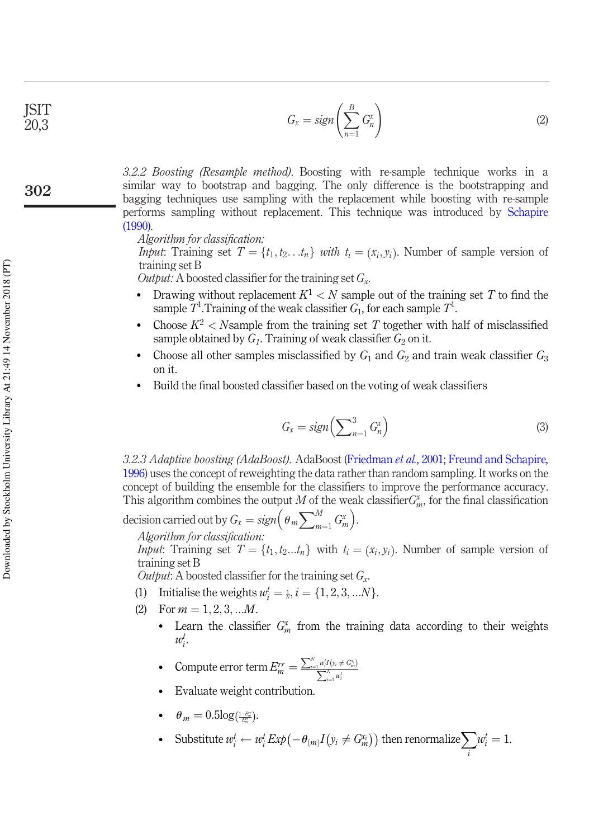$$
G_x = sign\left(\sum_{n=1}^B G_n^x\right) \tag{2}
$$

*3.2.2 Boosting (Resample method).* Boosting with re-sample technique works in a similar way to bootstrap and bagging. The only difference is the bootstrapping and bagging techniques use sampling with the replacement while boosting with re-sample performs sampling without replacement. This technique was introduced by Schapire (1990).

*Algorithm for classi*fi*cation:*

*Input*: Training set  $T = \{t_1, t_2, \ldots, t_n\}$  *with*  $t_i = (x_i, y_i)$ . Number of sample version of training set B

*Output:* A boosted classifier for the training set *G<sup>x</sup>* .

- Drawing without replacement  $K^1 < N$  sample out of the training set T to find the sample  $T^1$ . Training of the weak classifier  $G_1$ , for each sample  $T^1$ .
- Choose  $K^2$  < *N*sample from the training set *T* together with half of misclassified sample obtained by  $G_I$ . Training of weak classifier  $G_2$  on it.
- Choose all other samples misclassified by  $G_1$  and  $G_2$  and train weak classifier  $G_3$ on it.
- Build the final boosted classifier based on the voting of weak classifiers

$$
G_x = sign\left(\sum_{n=1}^3 G_n^x\right) \tag{3}
$$

*3.2.3 Adaptive boosting (AdaBoost).* AdaBoost (Friedman *et al.*, 2001; Freund and Schapire, 1996) uses the concept of reweighting the data rather than random sampling. It works on the concept of building the ensemble for the classifiers to improve the performance accuracy. This algorithm combines the output  $M$  of the weak classifier  $G_m^x$ , for the final classification

decision carried out by  $G_x = sign\left(\theta_m \sum_{m=1}^{M} G_m^x\right)$ . *Algorithm for classi*fi*cation:*

*Input*: Training set  $T = \{t_1, t_2...t_n\}$  with  $t_i = (x_i, y_i)$ . Number of sample version of training set B

*Output*: A boosted classifier for the training set  $G_x$ .

- (1) Initialise the weights  $w_i^t = \frac{1}{N}, i = \{1, 2, 3, ...N\}.$
- $(2)$  For  $m = 1, 2, 3, ...M$ .
	- Learn the classifier  $G_m^x$  from the training data according to their weights  $w_i^t$ .
	- Compute error term  $E_m^{rr} = \frac{\sum_{i=1}^{N} w_i^t I(y_i \neq G_m^x)}{\sum_{i=1}^{N} w_i^t}$
	- Evaluate weight contribution.
	- $\bullet$   $\theta_m = 0.5 \log(\frac{1-E_m^{\prime\prime}}{E_m^{\prime\prime}}).$
	- Substitute  $w_i^t \leftarrow w_i^t E x p \big(-\theta_{(m)} I \big(y_i \neq G_m^{x_i}\big)\big)$  then renormalize  $\sum$ *i*  $w_i^t = 1$ .

**ISIT** 20,3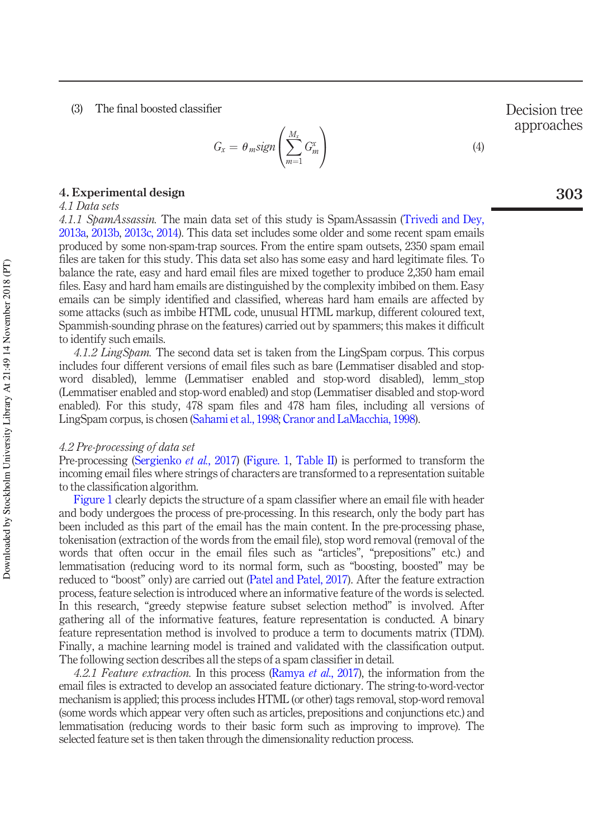(3) The final boosted classifier

$$
G_x = \theta_m sign\left(\sum_{m=1}^{M_x} G_m^x\right) \tag{4}
$$

#### 4. Experimental design

#### *4.1 Data sets*

*4.1.1 SpamAssassin.* The main data set of this study is SpamAssassin (Trivedi and Dey, 2013a, 2013b, 2013c, 2014). This data set includes some older and some recent spam emails produced by some non-spam-trap sources. From the entire spam outsets, 2350 spam email files are taken for this study. This data set also has some easy and hard legitimate files. To balance the rate, easy and hard email files are mixed together to produce 2,350 ham email files. Easy and hard ham emails are distinguished by the complexity imbibed on them. Easy emails can be simply identified and classified, whereas hard ham emails are affected by some attacks (such as imbibe HTML code, unusual HTML markup, different coloured text, Spammish-sounding phrase on the features) carried out by spammers; this makes it difficult to identify such emails.

*4.1.2 LingSpam.* The second data set is taken from the LingSpam corpus. This corpus includes four different versions of email files such as bare (Lemmatiser disabled and stopword disabled), lemme (Lemmatiser enabled and stop-word disabled), lemm\_stop (Lemmatiser enabled and stop-word enabled) and stop (Lemmatiser disabled and stop-word enabled). For this study, 478 spam files and 478 ham files, including all versions of LingSpam corpus, is chosen (Sahami et al., 1998; Cranor and LaMacchia, 1998).

#### *4.2 Pre-processing of data set*

Pre-processing (Sergienko *et al.*, 2017) (Figure. 1, Table II) is performed to transform the incoming email files where strings of characters are transformed to a representation suitable to the classification algorithm.

Figure 1 clearly depicts the structure of a spam classifier where an email file with header and body undergoes the process of pre-processing. In this research, only the body part has been included as this part of the email has the main content. In the pre-processing phase, tokenisation (extraction of the words from the email file), stop word removal (removal of the words that often occur in the email files such as "articles", "prepositions" etc.) and lemmatisation (reducing word to its normal form, such as "boosting, boosted" may be reduced to "boost" only) are carried out (Patel and Patel, 2017). After the feature extraction process, feature selection is introduced where an informative feature of the words is selected. In this research, "greedy stepwise feature subset selection method" is involved. After gathering all of the informative features, feature representation is conducted. A binary feature representation method is involved to produce a term to documents matrix (TDM). Finally, a machine learning model is trained and validated with the classification output. The following section describes all the steps of a spam classifier in detail.

*4.2.1 Feature extraction.* In this process (Ramya *et al*., 2017), the information from the email files is extracted to develop an associated feature dictionary. The string-to-word-vector mechanism is applied; this process includes HTML (or other) tags removal, stop-word removal (some words which appear very often such as articles, prepositions and conjunctions etc.) and lemmatisation (reducing words to their basic form such as improving to improve). The selected feature set is then taken through the dimensionality reduction process.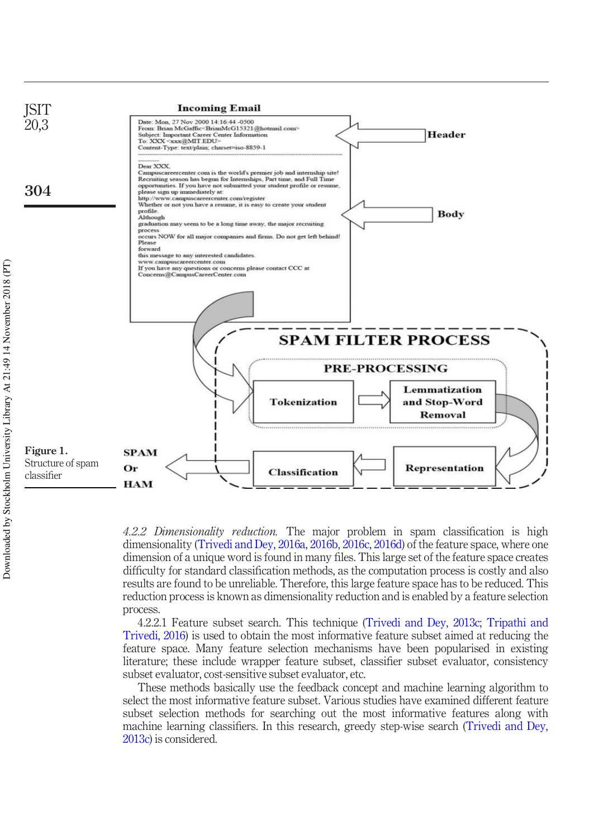

*4.2.2 Dimensionality reduction.* The major problem in spam classification is high dimensionality (Trivedi and Dey, 2016a, 2016b, 2016c, 2016d) of the feature space, where one dimension of a unique word is found in many files. This large set of the feature space creates difficulty for standard classification methods, as the computation process is costly and also results are found to be unreliable. Therefore, this large feature space has to be reduced. This reduction process is known as dimensionality reduction and is enabled by a feature selection process.

4.2.2.1 Feature subset search. This technique (Trivedi and Dey, 2013c; Tripathi and Trivedi, 2016) is used to obtain the most informative feature subset aimed at reducing the feature space. Many feature selection mechanisms have been popularised in existing literature; these include wrapper feature subset, classifier subset evaluator, consistency subset evaluator, cost-sensitive subset evaluator, etc.

These methods basically use the feedback concept and machine learning algorithm to select the most informative feature subset. Various studies have examined different feature subset selection methods for searching out the most informative features along with machine learning classifiers. In this research, greedy step-wise search (Trivedi and Dey, 2013c) is considered.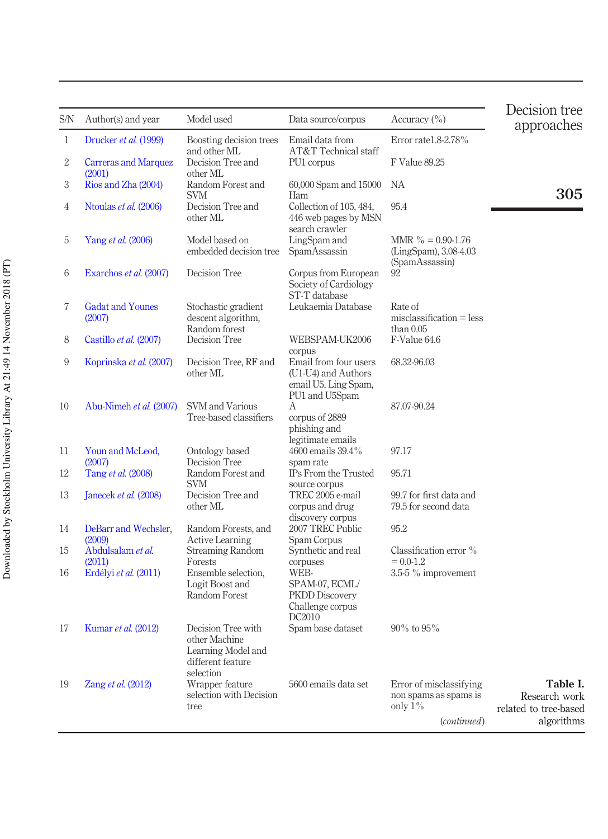| S/N            | Author(s) and year                    | Model used                                                                                  | Data source/corpus                                                                               | Accuracy $(\% )$                                                  | Decision tree<br>approaches                        |
|----------------|---------------------------------------|---------------------------------------------------------------------------------------------|--------------------------------------------------------------------------------------------------|-------------------------------------------------------------------|----------------------------------------------------|
| $\mathbf{1}$   | Drucker et al. (1999)                 | Boosting decision trees<br>and other ML                                                     | Email data from<br>AT&T Technical staff                                                          | Error rate $1.8-2.78\%$                                           |                                                    |
| $\overline{2}$ | <b>Carreras and Marquez</b><br>(2001) | Decision Tree and<br>other ML                                                               | PU1 corpus                                                                                       | F Value 89.25                                                     |                                                    |
| 3              | Rios and Zha (2004)                   | Random Forest and<br><b>SVM</b>                                                             | 60,000 Spam and 15000<br>Ham                                                                     | NA                                                                | 305                                                |
| $\overline{4}$ | Ntoulas et al. (2006)                 | Decision Tree and<br>other ML                                                               | Collection of 105, 484,<br>446 web pages by MSN<br>search crawler                                | 95.4                                                              |                                                    |
| 5              | Yang et al. (2006)                    | Model based on<br>embedded decision tree                                                    | LingSpam and<br>SpamAssassin                                                                     | MMR $\% = 0.90 - 1.76$<br>(LingSpam), 3.08-4.03<br>(SpamAssassin) |                                                    |
| 6              | Exarchos et al. (2007)                | Decision Tree                                                                               | Corpus from European<br>Society of Cardiology<br>ST-T database                                   | 92                                                                |                                                    |
| 7              | <b>Gadat and Younes</b><br>(2007)     | Stochastic gradient<br>descent algorithm,<br>Random forest                                  | Leukaemia Database                                                                               | Rate of<br>$misclassification = less$<br>than $0.05$              |                                                    |
| 8              | Castillo et al. (2007)                | Decision Tree                                                                               | WEBSPAM-UK2006                                                                                   | F-Value 64.6                                                      |                                                    |
| 9              | Koprinska et al. (2007)               | Decision Tree, RF and<br>other ML                                                           | corpus<br>Email from four users<br>(U1-U4) and Authors<br>email U5, Ling Spam,<br>PU1 and U5Spam | 68.32-96.03                                                       |                                                    |
| 10             | Abu-Nimeh et al. (2007)               | SVM and Various<br>Tree-based classifiers                                                   | А<br>corpus of 2889<br>phishing and<br>legitimate emails                                         | 87.07-90.24                                                       |                                                    |
| 11             | Youn and McLeod,<br>(2007)            | Ontology based<br>Decision Tree                                                             | 4600 emails 39.4%<br>spam rate                                                                   | 97.17                                                             |                                                    |
| 12             | Tang et al. (2008)                    | Random Forest and<br><b>SVM</b>                                                             | IPs From the Trusted<br>source corpus                                                            | 95.71                                                             |                                                    |
| 13             | Janecek et al. (2008)                 | Decision Tree and<br>other ML                                                               | TREC 2005 e-mail<br>corpus and drug<br>discovery corpus                                          | 99.7 for first data and<br>79.5 for second data                   |                                                    |
| 14             | DeBarr and Wechsler,<br>(2009)        | Random Forests, and<br><b>Active Learning</b>                                               | 2007 TREC Public<br>Spam Corpus                                                                  | 95.2                                                              |                                                    |
| 15             | Abdulsalam et al.<br>(2011)           | <b>Streaming Random</b><br>Forests                                                          | Synthetic and real<br>corpuses                                                                   | Classification error %<br>$= 0.0 - 1.2$                           |                                                    |
| 16             | Erdélyi et al. (2011)                 | Ensemble selection,<br>Logit Boost and<br><b>Random Forest</b>                              | WEB-<br>SPAM-07, ECML/<br>PKDD Discovery<br>Challenge corpus<br>DC2010                           | 3.5-5 $\%$ improvement                                            |                                                    |
| 17             | Kumar et al. (2012)                   | Decision Tree with<br>other Machine<br>Learning Model and<br>different feature<br>selection | Spam base dataset                                                                                | $90\%$ to $95\%$                                                  |                                                    |
| 19             | Zang <i>et al.</i> (2012)             | Wrapper feature<br>selection with Decision<br>tree                                          | 5600 emails data set                                                                             | Error of misclassifying<br>non spams as spams is<br>only $1\%$    | Table I.<br>Research work<br>related to tree-based |
|                |                                       |                                                                                             |                                                                                                  | (continued)                                                       | algorithms                                         |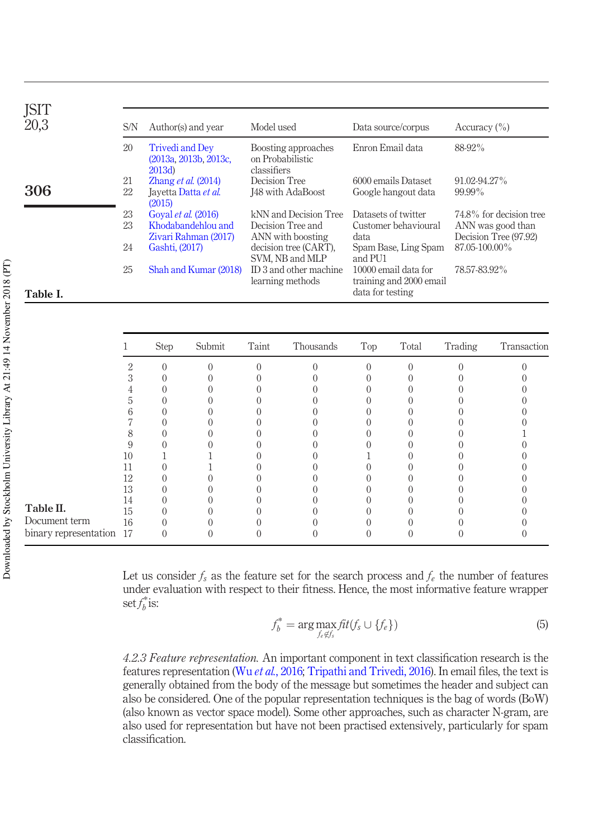| <b>JSIT</b><br>20,3 | S/N | Author(s) and year                                        | Model used                                                    | Data source/corpus                              | Accuracy $(\% )$                           |
|---------------------|-----|-----------------------------------------------------------|---------------------------------------------------------------|-------------------------------------------------|--------------------------------------------|
|                     | 20  | <b>Trivedi</b> and Dev<br>(2013a, 2013b, 2013c,<br>2013d) | Boosting approaches<br>on Probabilistic<br><i>classifiers</i> | Enron Email data                                | 88-92%                                     |
|                     | 21  | Zhang <i>et al.</i> $(2014)$                              | Decision Tree                                                 | 6000 emails Dataset                             | 91.02.94.27%                               |
| 306                 | 22  | Javetta Datta et al.<br>(2015)                            | I48 with AdaBoost                                             | Google hangout data                             | 99.99%                                     |
|                     | 23  | Goval et al. (2016)                                       | kNN and Decision Tree                                         | Datasets of twitter                             | 74.8% for decision tree                    |
|                     | 23  | Khodabandehlou and<br>Zivari Rahman (2017)                | Decision Tree and<br>ANN with boosting                        | Customer behavioural<br>data                    | ANN was good than<br>Decision Tree (97.92) |
|                     | 24  | Gashti, (2017)                                            | decision tree (CART),<br>SVM. NB and MLP                      | Spam Base, Ling Spam<br>and PU1                 | $87.05 - 100.00\%$                         |
|                     | 25  | Shah and Kumar (2018)                                     | ID 3 and other machine<br>learning methods                    | 10000 email data for<br>training and 2000 email | 78.57-83.92%                               |
| Table I.            |     |                                                           |                                                               | data for testing                                |                                            |

|                          |    | Step | Submit | Taint | Thousands | Top | Total | Trading | Transaction |
|--------------------------|----|------|--------|-------|-----------|-----|-------|---------|-------------|
|                          | 9  |      |        |       |           |     |       |         |             |
|                          |    |      |        |       |           |     |       |         |             |
|                          |    |      |        |       |           |     |       |         |             |
|                          |    |      |        |       |           |     |       |         |             |
|                          |    |      |        |       |           |     |       |         |             |
|                          |    |      |        |       |           |     |       |         |             |
|                          |    |      |        |       |           |     |       |         |             |
|                          |    |      |        |       |           |     |       |         |             |
|                          | 10 |      |        |       |           |     |       |         |             |
|                          |    |      |        |       |           |     |       |         |             |
|                          | 12 |      |        |       |           |     |       |         |             |
|                          | 13 |      |        |       |           |     |       |         |             |
|                          | 14 |      |        |       |           |     |       |         |             |
| Table II.                | 15 |      |        |       |           |     |       |         |             |
| Document term            | 16 |      |        |       |           |     |       |         |             |
| binary representation 17 |    |      |        |       |           |     |       |         |             |
|                          |    |      |        |       |           |     |       |         |             |

Let us consider  $f_s$  as the feature set for the search process and  $f_e$  the number of features under evaluation with respect to their fitness. Hence, the most informative feature wrapper  $\operatorname{set} f_b^*$ **is:** 

$$
f_b^* = \arg\max_{f_e \notin f_s} f \, t(f_s \cup \{f_e\}) \tag{5}
$$

*4.2.3 Feature representation.* An important component in text classification research is the features representation (Wu *et al.*, 2016; Tripathi and Trivedi, 2016). In email files, the text is generally obtained from the body of the message but sometimes the header and subject can also be considered. One of the popular representation techniques is the bag of words (BoW) (also known as vector space model). Some other approaches, such as character N-gram, are also used for representation but have not been practised extensively, particularly for spam classification.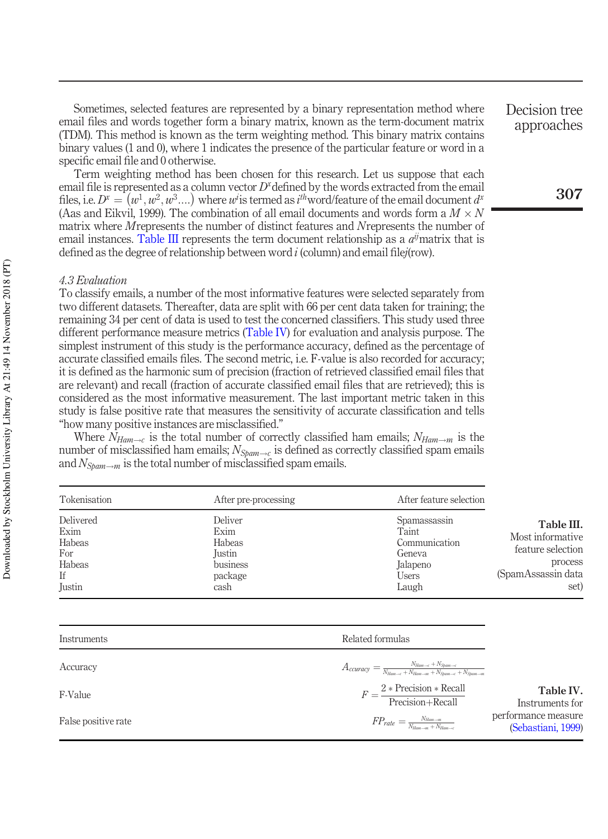Sometimes, selected features are represented by a binary representation method where email files and words together form a binary matrix, known as the term-document matrix (TDM). This method is known as the term weighting method. This binary matrix contains binary values (1 and 0), where 1 indicates the presence of the particular feature or word in a specific email file and 0 otherwise.

Term weighting method has been chosen for this research. Let us suppose that each email file is represented as a column vector  $D^x$  defined by the words extracted from the email files, i.e.  $D^x = (w^1, w^2, w^3....)$  where  $w^i$  is termed as  $i^{th}$  word/feature of the email document  $d^x$ (Aas and Eikvil, 1999). The combination of all email documents and words form a  $M \times N$ matrix where *M*represents the number of distinct features and *N*represents the number of email instances. Table III represents the term document relationship as a  $a^{ij}$  matrix that is defined as the degree of relationship between word *i* (column) and email file*j*(row).

#### *4.3 Evaluation*

To classify emails, a number of the most informative features were selected separately from two different datasets. Thereafter, data are split with 66 per cent data taken for training; the remaining 34 per cent of data is used to test the concerned classifiers. This study used three different performance measure metrics (Table IV) for evaluation and analysis purpose. The simplest instrument of this study is the performance accuracy, defined as the percentage of accurate classified emails files. The second metric, i.e. F-value is also recorded for accuracy; it is defined as the harmonic sum of precision (fraction of retrieved classified email files that are relevant) and recall (fraction of accurate classified email files that are retrieved); this is considered as the most informative measurement. The last important metric taken in this study is false positive rate that measures the sensitivity of accurate classification and tells "how many positive instances are misclassified."

Where  $\hat{N}_{Ham\rightarrow c}$  is the total number of correctly classified ham emails;  $N_{Ham\rightarrow m}$  is the number of misclassified ham emails;  $N_{Spam\rightarrow c}$  is defined as correctly classified spam emails and  $N_{Spam\rightarrow m}$  is the total number of misclassified spam emails.

| Tokenisation                                                 | After pre-processing                                                             | After feature selection                                                               |                                                                                              |
|--------------------------------------------------------------|----------------------------------------------------------------------------------|---------------------------------------------------------------------------------------|----------------------------------------------------------------------------------------------|
| Delivered<br>Exim<br>Habeas<br>For<br>Habeas<br>If<br>Justin | Deliver<br>Exim<br><b>Habeas</b><br><b>Iustin</b><br>business<br>package<br>cash | Spamassassin<br>Taint<br>Communication<br>Geneva<br>Jalapeno<br><b>Users</b><br>Laugh | Table III.<br>Most informative<br>feature selection<br>process<br>(SpamAssassin data<br>set) |

| Instruments         | Related formulas                                                                                                                                                                                                               |                                           |
|---------------------|--------------------------------------------------------------------------------------------------------------------------------------------------------------------------------------------------------------------------------|-------------------------------------------|
| Accuracy            | $A_{\textit{curacy}} = \frac{N_{\textit{Ham}\rightarrow c} + N_{\textit{Spam}\rightarrow c}}{N_{\textit{Ham}\rightarrow c} + N_{\textit{Ham}\rightarrow m} + N_{\textit{Spam}\rightarrow c} + N_{\textit{Spam}\rightarrow m}}$ |                                           |
| F-Value             | $F = \frac{2 * \text{Precision} * \text{Recall}}{\text{Precision} + \text{Recall}}$                                                                                                                                            | Table IV.<br>Instruments for              |
| False positive rate | $FP_{rate} = \frac{N_{Ham \rightarrow m}}{N_{Ham \rightarrow m} + N_{Ham \rightarrow m}}$                                                                                                                                      | performance measure<br>(Sebastiani, 1999) |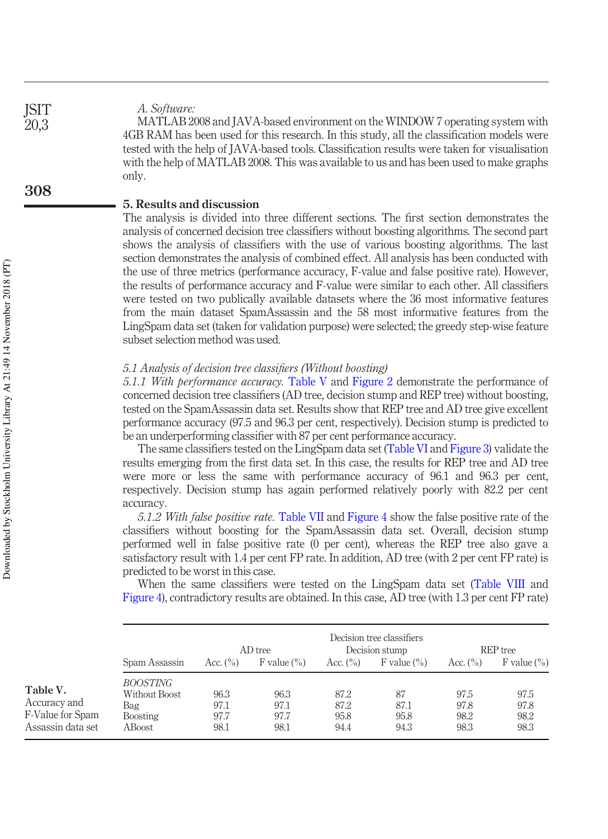*A. Software:*

MATLAB 2008 and JAVA-based environment on the WINDOW 7 operating system with 4GB RAM has been used for this research. In this study, all the classification models were tested with the help of JAVA-based tools. Classification results were taken for visualisation with the help of MATLAB 2008. This was available to us and has been used to make graphs only.

#### 5. Results and discussion

The analysis is divided into three different sections. The first section demonstrates the analysis of concerned decision tree classifiers without boosting algorithms. The second part shows the analysis of classifiers with the use of various boosting algorithms. The last section demonstrates the analysis of combined effect. All analysis has been conducted with the use of three metrics (performance accuracy, F-value and false positive rate). However, the results of performance accuracy and F-value were similar to each other. All classifiers were tested on two publically available datasets where the 36 most informative features from the main dataset SpamAssassin and the 58 most informative features from the LingSpam data set (taken for validation purpose) were selected; the greedy step-wise feature subset selection method was used.

#### *5.1 Analysis of decision tree classi*fi*ers (Without boosting)*

*5.1.1 With performance accuracy.* Table V and Figure 2 demonstrate the performance of concerned decision tree classifiers (AD tree, decision stump and REP tree) without boosting, tested on the SpamAssassin data set. Results show that REP tree and AD tree give excellent performance accuracy (97.5 and 96.3 per cent, respectively). Decision stump is predicted to be an underperforming classifier with 87 per cent performance accuracy.

The same classifiers tested on the LingSpam data set (Table VI and Figure 3) validate the results emerging from the first data set. In this case, the results for REP tree and AD tree were more or less the same with performance accuracy of 96.1 and 96.3 per cent, respectively. Decision stump has again performed relatively poorly with 82.2 per cent accuracy.

*5.1.2 With false positive rate.* Table VII and Figure 4 show the false positive rate of the classifiers without boosting for the SpamAssassin data set. Overall, decision stump performed well in false positive rate (0 per cent), whereas the REP tree also gave a satisfactory result with 1.4 per cent FP rate. In addition, AD tree (with 2 per cent FP rate) is predicted to be worst in this case.

When the same classifiers were tested on the LingSpam data set (Table VIII and Figure 4), contradictory results are obtained. In this case, AD tree (with 1.3 per cent FP rate)

|                                                                   |                                                                      |                              | AD tree                      |                              | Decision tree classifiers<br>Decision stump |                              | REP tree                     |
|-------------------------------------------------------------------|----------------------------------------------------------------------|------------------------------|------------------------------|------------------------------|---------------------------------------------|------------------------------|------------------------------|
|                                                                   | Spam Assassin                                                        | Acc. $(\% )$                 | F value $(\% )$              | Acc. $(\% )$                 | F value $(\% )$                             | Acc. $(\% )$                 | F value $(\% )$              |
| Table V.<br>Accuracy and<br>F-Value for Spam<br>Assassin data set | <i>BOOSTING</i><br>Without Boost<br>Bag<br><b>Boosting</b><br>ABoost | 96.3<br>97.1<br>97.7<br>98.1 | 96.3<br>97.1<br>97.7<br>98.1 | 87.2<br>87.2<br>95.8<br>94.4 | 87<br>87.1<br>95.8<br>94.3                  | 97.5<br>97.8<br>98.2<br>98.3 | 97.5<br>97.8<br>98.2<br>98.3 |

**ISIT** 20,3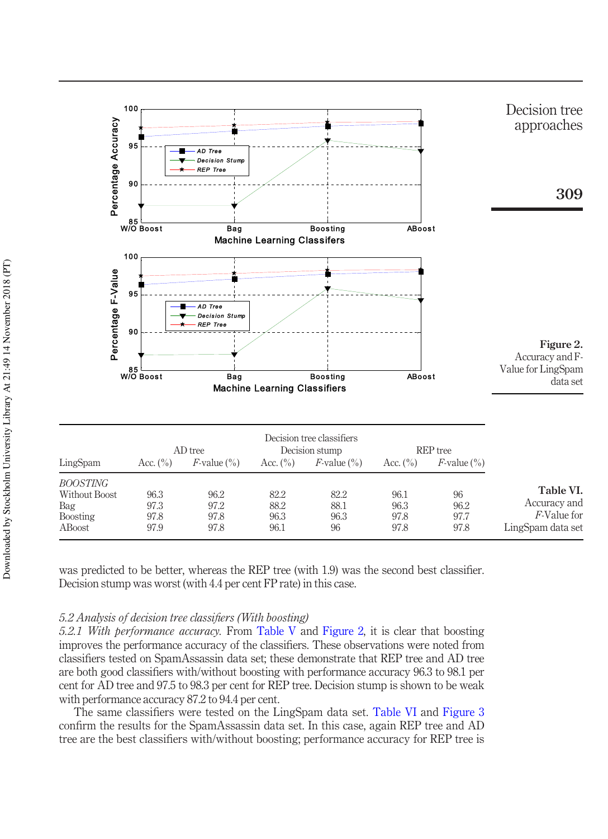

was predicted to be better, whereas the REP tree (with 1.9) was the second best classifier. Decision stump was worst (with 4.4 per cent FP rate) in this case.

#### *5.2 Analysis of decision tree classi*fi*ers (With boosting)*

*5.2.1 With performance accuracy.* From Table V and Figure 2, it is clear that boosting improves the performance accuracy of the classifiers. These observations were noted from classifiers tested on SpamAssassin data set; these demonstrate that REP tree and AD tree are both good classifiers with/without boosting with performance accuracy 96.3 to 98.1 per cent for AD tree and 97.5 to 98.3 per cent for REP tree. Decision stump is shown to be weak with performance accuracy 87.2 to 94.4 per cent.

The same classifiers were tested on the LingSpam data set. Table VI and Figure 3 confirm the results for the SpamAssassin data set. In this case, again REP tree and AD tree are the best classifiers with/without boosting; performance accuracy for REP tree is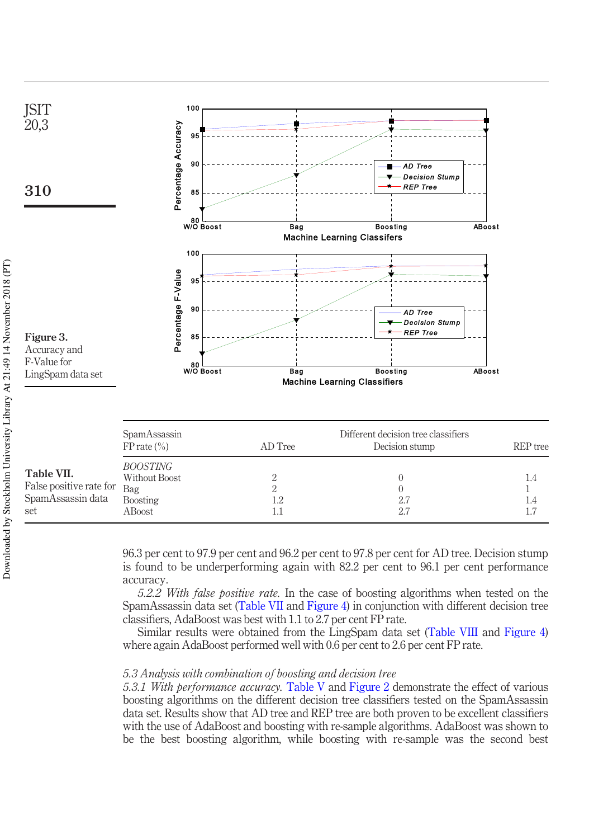

96.3 per cent to 97.9 per cent and 96.2 per cent to 97.8 per cent for AD tree. Decision stump is found to be underperforming again with 82.2 per cent to 96.1 per cent performance accuracy.

*5.2.2 With false positive rate.* In the case of boosting algorithms when tested on the SpamAssassin data set (Table VII and Figure 4) in conjunction with different decision tree classifiers, AdaBoost was best with 1.1 to 2.7 per cent FP rate.

Similar results were obtained from the LingSpam data set (Table VIII and Figure 4) where again AdaBoost performed well with 0.6 per cent to 2.6 per cent FP rate.

#### *5.3 Analysis with combination of boosting and decision tree*

*5.3.1 With performance accuracy.* Table V and Figure 2 demonstrate the effect of various boosting algorithms on the different decision tree classifiers tested on the SpamAssassin data set. Results show that AD tree and REP tree are both proven to be excellent classifiers with the use of AdaBoost and boosting with re-sample algorithms. AdaBoost was shown to be the best boosting algorithm, while boosting with re-sample was the second best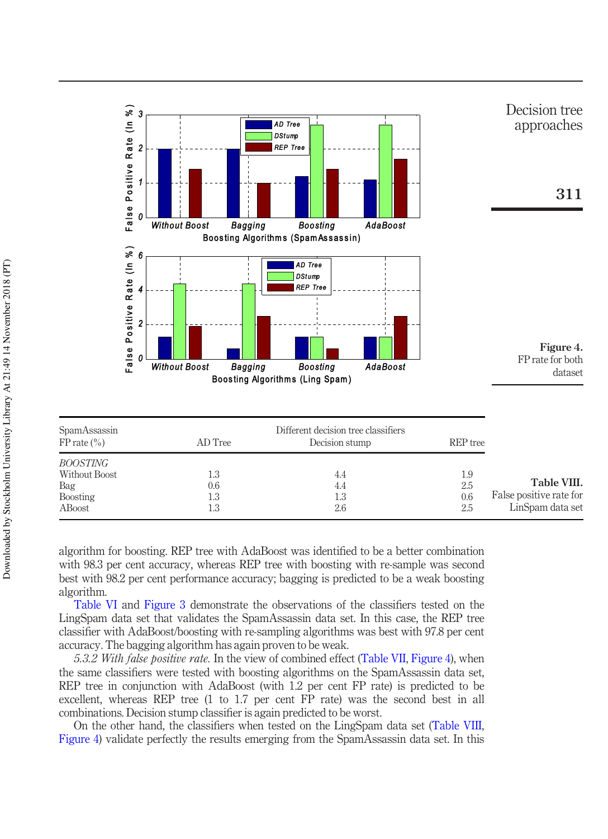

algorithm for boosting. REP tree with AdaBoost was identified to be a better combination with 98.3 per cent accuracy, whereas REP tree with boosting with re-sample was second best with 98.2 per cent performance accuracy; bagging is predicted to be a weak boosting algorithm.

Table VI and Figure 3 demonstrate the observations of the classifiers tested on the LingSpam data set that validates the SpamAssassin data set. In this case, the REP tree classifier with AdaBoost/boosting with re-sampling algorithms was best with 97.8 per cent accuracy. The bagging algorithm has again proven to be weak.

*5.3.2 With false positive rate.* In the view of combined effect (Table VII, Figure 4), when the same classifiers were tested with boosting algorithms on the SpamAssassin data set, REP tree in conjunction with AdaBoost (with 1.2 per cent FP rate) is predicted to be excellent, whereas REP tree (1 to 1.7 per cent FP rate) was the second best in all combinations. Decision stump classifier is again predicted to be worst.

On the other hand, the classifiers when tested on the LingSpam data set (Table VIII, Figure 4) validate perfectly the results emerging from the SpamAssassin data set. In this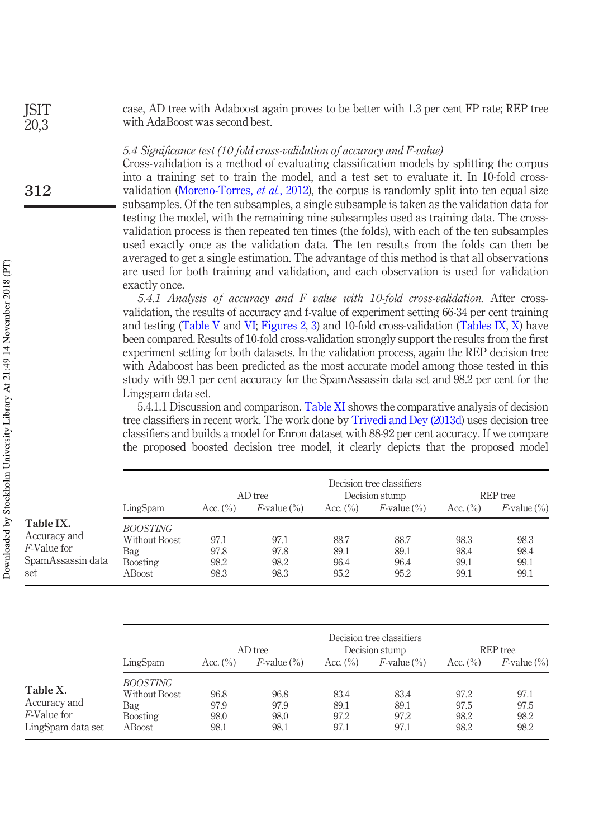case, AD tree with Adaboost again proves to be better with 1.3 per cent FP rate; REP tree with AdaBoost was second best.

#### *5.4 Signi*fi*cance test (10 fold cross-validation of accuracy and F-value)*

Cross-validation is a method of evaluating classification models by splitting the corpus into a training set to train the model, and a test set to evaluate it. In 10-fold crossvalidation (Moreno-Torres, *et al.*, 2012), the corpus is randomly split into ten equal size subsamples. Of the ten subsamples, a single subsample is taken as the validation data for testing the model, with the remaining nine subsamples used as training data. The crossvalidation process is then repeated ten times (the folds), with each of the ten subsamples used exactly once as the validation data. The ten results from the folds can then be averaged to get a single estimation. The advantage of this method is that all observations are used for both training and validation, and each observation is used for validation exactly once.

*5.4.1 Analysis of accuracy and F value with 10-fold cross-validation.* After crossvalidation, the results of accuracy and f-value of experiment setting 66-34 per cent training and testing (Table V and VI; Figures 2, 3) and 10-fold cross-validation (Tables IX, X) have been compared. Results of 10-fold cross-validation strongly support the results from the first experiment setting for both datasets. In the validation process, again the REP decision tree with Adaboost has been predicted as the most accurate model among those tested in this study with 99.1 per cent accuracy for the SpamAssassin data set and 98.2 per cent for the Lingspam data set.

5.4.1.1 Discussion and comparison. Table XI shows the comparative analysis of decision tree classifiers in recent work. The work done by Trivedi and Dey (2013d) uses decision tree classifiers and builds a model for Enron dataset with 88-92 per cent accuracy. If we compare the proposed boosted decision tree model, it clearly depicts that the proposed model

|                                                                              |                                                                             |                              | AD tree                      |                              | Decision tree classifiers<br>Decision stump |                              | REP tree                     |
|------------------------------------------------------------------------------|-----------------------------------------------------------------------------|------------------------------|------------------------------|------------------------------|---------------------------------------------|------------------------------|------------------------------|
|                                                                              | LingSpam                                                                    | Acc. $(\% )$                 | $F$ -value $(\%)$            | Acc. $(\% )$                 | $F$ -value $(\%)$                           | Acc. $(\% )$                 | $F$ -value $(\%)$            |
| Table IX.<br>Accuracy and<br><i>F</i> -Value for<br>SpamAssassin data<br>set | <b>BOOSTING</b><br>Without Boost<br>Bag<br><b>Boosting</b><br><b>ABoost</b> | 97.1<br>97.8<br>98.2<br>98.3 | 97.1<br>97.8<br>98.2<br>98.3 | 88.7<br>89.1<br>96.4<br>95.2 | 88.7<br>89.1<br>96.4<br>95.2                | 98.3<br>98.4<br>99.1<br>99.1 | 98.3<br>98.4<br>99.1<br>99.1 |

|                                                              |                                                                      |                              | AD tree                      |                              | Decision tree classifiers<br>Decision stump |                              | REP tree                     |
|--------------------------------------------------------------|----------------------------------------------------------------------|------------------------------|------------------------------|------------------------------|---------------------------------------------|------------------------------|------------------------------|
|                                                              | LingSpam                                                             | Acc. $(\% )$                 | $F$ -value $(\%)$            | Acc. $(\% )$                 | $F$ -value $(\%)$                           | Acc. $(\% )$                 | $F$ -value $(\%)$            |
| Table X.<br>Accuracy and<br>F Value for<br>LingSpam data set | <i>BOOSTING</i><br>Without Boost<br>Bag<br><b>Boosting</b><br>ABoost | 96.8<br>97.9<br>98.0<br>98.1 | 96.8<br>97.9<br>98.0<br>98.1 | 83.4<br>89.1<br>97.2<br>97.1 | 83.4<br>89.1<br>97.2<br>97.1                | 97.2<br>97.5<br>98.2<br>98.2 | 97.1<br>97.5<br>98.2<br>98.2 |

**ISIT** 20,3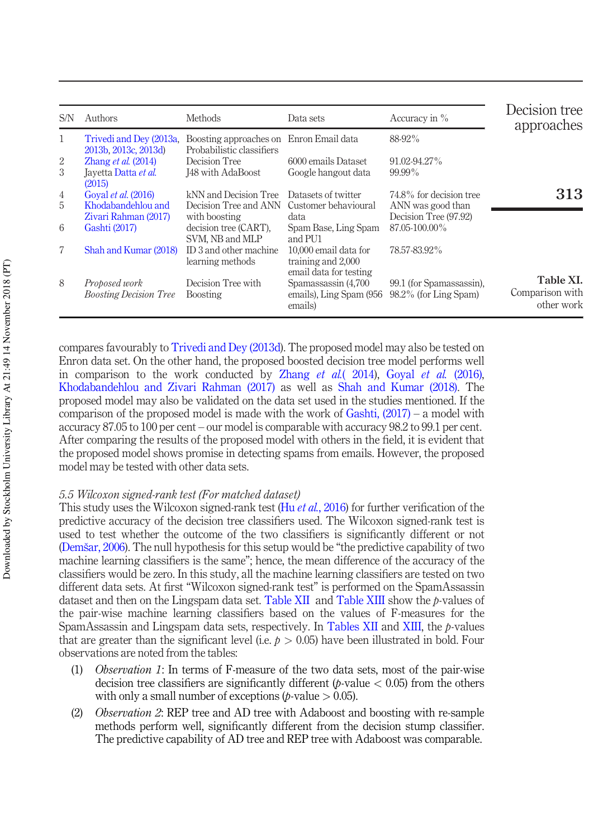| S/N          | Authors                                                        | <b>Methods</b>                                      | Data sets                                                             | Accuracy in %                                     | Decision tree<br>approaches                |
|--------------|----------------------------------------------------------------|-----------------------------------------------------|-----------------------------------------------------------------------|---------------------------------------------------|--------------------------------------------|
| $\mathbf{1}$ | Trivedi and Dey (2013a,<br>2013b, 2013c, 2013d)                | Boosting approaches on<br>Probabilistic classifiers | Enron Email data                                                      | 88-92%                                            |                                            |
| 2<br>3       | Zhang <i>et al.</i> $(2014)$<br>Jayetta Datta et al.<br>(2015) | Decision Tree<br>I48 with AdaBoost                  | 6000 emails Dataset<br>Google hangout data                            | 91.02-94.27%<br>$99.99\%$                         |                                            |
| 4<br>5.      | Goval et al. (2016)<br>Khodabandehlou and                      | kNN and Decision Tree<br>Decision Tree and ANN      | Datasets of twitter<br>Customer behavioural                           | 74.8% for decision tree<br>ANN was good than      | 313                                        |
|              | Zivari Rahman (2017)                                           | with boosting                                       | data                                                                  | Decision Tree (97.92)                             |                                            |
| 6            | Gashti (2017)                                                  | decision tree (CART),<br>SVM, NB and MLP            | Spam Base, Ling Spam<br>and PU1                                       | 87.05-100.00%                                     |                                            |
|              | Shah and Kumar (2018)                                          | ID 3 and other machine<br>learning methods          | 10,000 email data for<br>training and 2,000<br>email data for testing | 78.57-83.92%                                      |                                            |
| 8            | Proposed work<br><b>Boosting Decision Tree</b>                 | Decision Tree with<br><b>Boosting</b>               | Spamassassin (4,700)<br>emails), Ling Spam (956<br>emails)            | 99.1 (for Spamassassin).<br>98.2% (for Ling Spam) | Table XI.<br>Comparison with<br>other work |

compares favourably to Trivedi and Dey (2013d). The proposed model may also be tested on Enron data set. On the other hand, the proposed boosted decision tree model performs well in comparison to the work conducted by Zhang *et al.*( 2014), Goyal *et al.* (2016), Khodabandehlou and Zivari Rahman (2017) as well as Shah and Kumar (2018). The proposed model may also be validated on the data set used in the studies mentioned. If the comparison of the proposed model is made with the work of Gashti,  $(2017)$  – a model with accuracy 87.05 to 100 per cent – our model is comparable with accuracy 98.2 to 99.1 per cent. After comparing the results of the proposed model with others in the field, it is evident that the proposed model shows promise in detecting spams from emails. However, the proposed model may be tested with other data sets.

#### *5.5 Wilcoxon signed-rank test (For matched dataset)*

This study uses the Wilcoxon signed-rank test (Hu *et al.*, 2016) for further verification of the predictive accuracy of the decision tree classifiers used. The Wilcoxon signed-rank test is used to test whether the outcome of the two classifiers is significantly different or not (Demšar, 2006). The null hypothesis for this setup would be "the predictive capability of two machine learning classifiers is the same"; hence, the mean difference of the accuracy of the classifiers would be zero. In this study, all the machine learning classifiers are tested on two different data sets. At first "Wilcoxon signed-rank test" is performed on the SpamAssassin dataset and then on the Lingspam data set. Table XII and Table XIII show the *p*-values of the pair-wise machine learning classifiers based on the values of F-measures for the SpamAssassin and Lingspam data sets, respectively. In Tables XII and XIII, the *p*-values that are greater than the significant level (i.e.  $p > 0.05$ ) have been illustrated in bold. Four observations are noted from the tables:

- (1) *Observation 1*: In terms of F-measure of the two data sets, most of the pair-wise decision tree classifiers are significantly different (*p*-value < 0.05) from the others with only a small number of exceptions  $(p$ -value  $> 0.05$ ).
- (2) *Observation 2*: REP tree and AD tree with Adaboost and boosting with re-sample methods perform well, significantly different from the decision stump classifier. The predictive capability of AD tree and REP tree with Adaboost was comparable.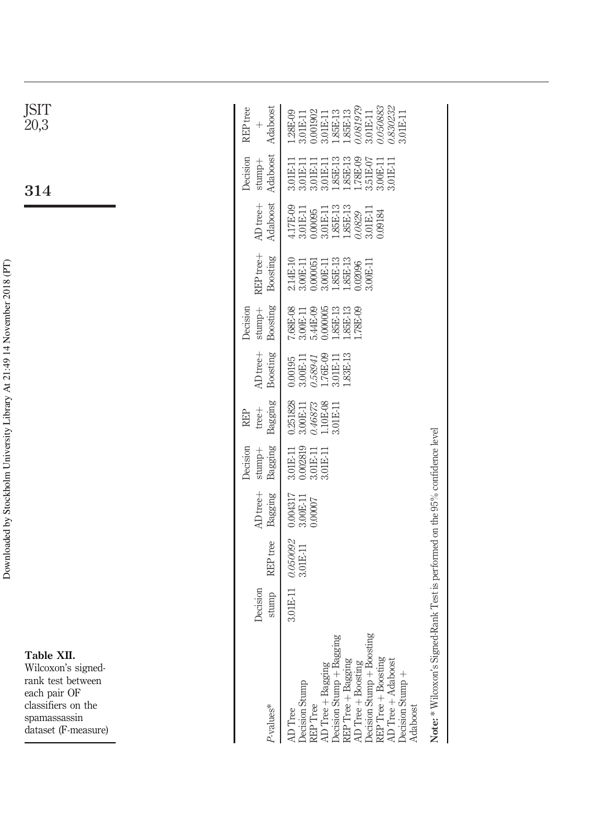| Table XII.<br>Wilcoxon's signed-<br>rank test between<br>each pair OF<br>classifiers on the<br>spamassassin<br>dataset (F-measure)                                                                                                                  |                   |                                                       |                                |                                              |                                                             |                                                                      |                                                                                |                                                                                            |                                                                                                    | 314                                                                                                                   | JSIT<br>20,3                                                                                                                    |
|-----------------------------------------------------------------------------------------------------------------------------------------------------------------------------------------------------------------------------------------------------|-------------------|-------------------------------------------------------|--------------------------------|----------------------------------------------|-------------------------------------------------------------|----------------------------------------------------------------------|--------------------------------------------------------------------------------|--------------------------------------------------------------------------------------------|----------------------------------------------------------------------------------------------------|-----------------------------------------------------------------------------------------------------------------------|---------------------------------------------------------------------------------------------------------------------------------|
|                                                                                                                                                                                                                                                     |                   |                                                       |                                |                                              |                                                             |                                                                      |                                                                                |                                                                                            |                                                                                                    |                                                                                                                       |                                                                                                                                 |
|                                                                                                                                                                                                                                                     |                   |                                                       |                                |                                              |                                                             |                                                                      |                                                                                |                                                                                            |                                                                                                    |                                                                                                                       |                                                                                                                                 |
|                                                                                                                                                                                                                                                     |                   |                                                       |                                |                                              |                                                             |                                                                      |                                                                                |                                                                                            |                                                                                                    |                                                                                                                       |                                                                                                                                 |
| P-values*                                                                                                                                                                                                                                           | Decision<br>stump | REP tree                                              | AD tree+<br>Bagging            | Decision<br>Bagging<br>$stump+$              | Bagging<br>$tree+$<br>REP                                   | AD tree+<br>Boosting                                                 | Boosting<br>Decision<br>$stump+$                                               | REP tree+<br>Boosting                                                                      | Adaboost<br>AD tree+                                                                               | Adaboost<br>Decision<br>$stump+$                                                                                      | REP <sub>tree</sub><br>Adaboost                                                                                                 |
| mg<br>mg<br>Decision Stump + Bagg:<br>Decision Stump + Boost<br>REP Tree + Boosting<br>REP Tree + Bagging<br>AD Tree + Adaboost<br>AD Tree + Boosting<br>AD Tree + Bagging<br>Decision Stump +<br>Decision Stump<br>REP Tree<br>Adaboost<br>AD Tree | 3.01E-11          | 0.050092<br>3.01E-11                                  | 0.004317<br>3.00E-11<br>0.0007 | 0.002819<br>3.01E-11<br>3.01E-11<br>3.01E-11 | 0.251828<br>1.10E-08<br>3.00E-11<br>$0.46873\,$<br>3.01E-11 | 1.76E-09<br>1.83E-13<br>$3.00E-11$<br>3.01E-11<br>0.58941<br>0.00195 | 0.000005<br>L85E-13<br>1.85E-13<br>7.68E-08<br>5.44E-09<br>.78E-09<br>3.00E-11 | 1.85E-13<br>2.14E-10<br>1.85E-13<br>3.00E-11<br>0.00005<br>3.00E-11<br>3.00E-11<br>0.02096 | L85E-13<br>.85E-13<br>4.17E-09<br>3.01E-11<br>3.01E-11<br>3.01E-11<br>0.00095<br>0.09184<br>2.0829 | 1.85E-13<br>$.85E-13$<br>1.78E-09<br>3.51E-07<br>3.00E-11<br>3.01E-11<br>3.01E-11<br>3.01E-11<br>3.01E-11<br>3.01E-11 | 0.050883<br>2830232<br>0.081979<br>0.001902<br>1.85E-13<br>1.85E-13<br>1.28E-09<br>3.01E-11<br>3.01E-11<br>3.01E-11<br>3.01E-11 |
| Note: * Wilcoxon's Sign                                                                                                                                                                                                                             |                   | ed-Rank Test is performed on the 95% confidence level |                                |                                              |                                                             |                                                                      |                                                                                |                                                                                            |                                                                                                    |                                                                                                                       |                                                                                                                                 |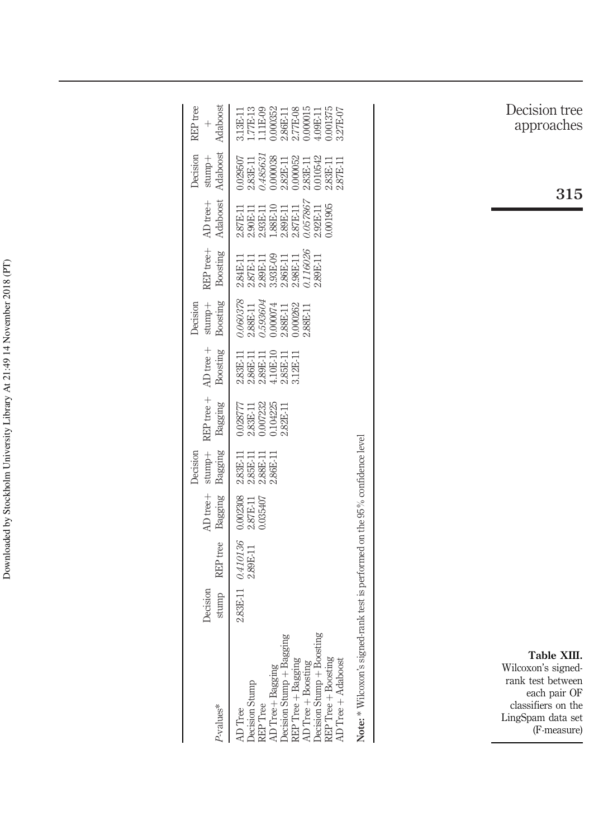| Decision tree                                                                                                                    |                                                                              | 0.000015<br>0.001375<br>0.000352<br>2.77E-08<br>1.11E-09<br>3.27E-07<br>2.86E-11<br>4.09E-11                                                                                         | Adaboost<br>REP <sub>tree</sub>  |
|----------------------------------------------------------------------------------------------------------------------------------|------------------------------------------------------------------------------|--------------------------------------------------------------------------------------------------------------------------------------------------------------------------------------|----------------------------------|
| approaches                                                                                                                       |                                                                              |                                                                                                                                                                                      |                                  |
| 315                                                                                                                              |                                                                              | 0.485631<br>0.000038<br>0.000052<br>0.010542<br>2.82E-11<br>2.83E-11<br>2.83E-11<br>2.87E-11                                                                                         | Adaboost<br>Decision<br>$stump+$ |
|                                                                                                                                  |                                                                              | 0.057867<br>0.001905<br>$1.88\mathrm{E}{\cdot}10$<br>2.92E-11<br>2.90E-11<br>2.93E-11<br>2.89E-11<br>2.87E-11                                                                        | Adaboost<br>AD tree+             |
|                                                                                                                                  |                                                                              | 0.116026<br>3.93E-09<br>2.98E-11<br>2.89E-11<br>2.89E-11<br>2.86E-11                                                                                                                 | REP tree+<br>Boosting            |
|                                                                                                                                  |                                                                              | 0.593604<br>0.000074<br>0.000262<br>2.88E-11<br>2.88E-11                                                                                                                             | Boosting<br>$stump+$<br>Decision |
|                                                                                                                                  |                                                                              | 4.10E-10<br>$2.89\mathrm{E}\cdot11$<br>2.85E-11<br>3.12E-11                                                                                                                          | AD tree +<br>Boosting            |
|                                                                                                                                  |                                                                              | 0.007232<br>0.104225<br>2.82E-11                                                                                                                                                     | REP tree +<br>Bagging            |
|                                                                                                                                  |                                                                              | $2.88E-11$<br>2.86E-11                                                                                                                                                               | $stump+$<br>Bagging<br>Decision  |
|                                                                                                                                  |                                                                              | 0.035407                                                                                                                                                                             | AD tree+<br>Bagging              |
|                                                                                                                                  |                                                                              |                                                                                                                                                                                      | REP <sub>tree</sub>              |
|                                                                                                                                  |                                                                              |                                                                                                                                                                                      | Decision<br>stump                |
| Table XIII.<br>Wilcoxon's signed-<br>rank test between<br>each pair OF<br>classifiers on the<br>LingSpam data set<br>(F-measure) | Note: * Wilcoxon's signed-rank test is performed on the 95% confidence level | ting<br>mg<br>Decision Stump + Bagg<br>Decision Stump + Boos<br>REP Tree + Boosting<br>AD Tree + Adaboost<br>REP Tree + Bagging<br>AD Tree + Boosting<br>AD Tree+Bagging<br>REP Tree | P-values*                        |

Downloaded by Stockholm University Library At 21:49 14 November 2018 (PT) Downloaded by Stockholm University Library At 21:49 14 November 2018 (PT)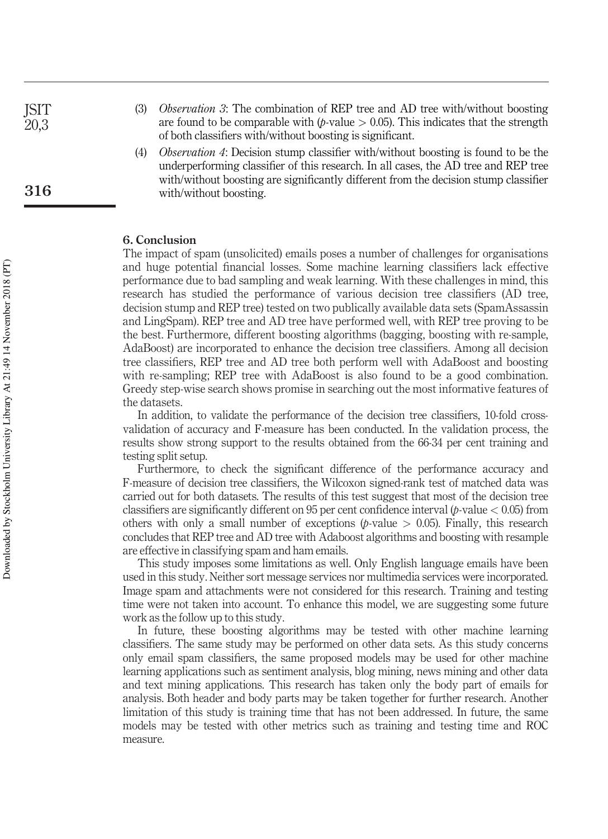| (3) <i>Observation 3</i> : The combination of REP tree and AD tree with/without boosting       |
|------------------------------------------------------------------------------------------------|
| are found to be comparable with ( <i>b</i> -value $> 0.05$ ). This indicates that the strength |
| of both classifiers with/without boosting is significant.                                      |

(4) *Observation 4*: Decision stump classifier with/without boosting is found to be the underperforming classifier of this research. In all cases, the AD tree and REP tree with/without boosting are significantly different from the decision stump classifier with/without boosting.

#### 6. Conclusion

The impact of spam (unsolicited) emails poses a number of challenges for organisations and huge potential financial losses. Some machine learning classifiers lack effective performance due to bad sampling and weak learning. With these challenges in mind, this research has studied the performance of various decision tree classifiers (AD tree, decision stump and REP tree) tested on two publically available data sets (SpamAssassin and LingSpam). REP tree and AD tree have performed well, with REP tree proving to be the best. Furthermore, different boosting algorithms (bagging, boosting with re-sample, AdaBoost) are incorporated to enhance the decision tree classifiers. Among all decision tree classifiers, REP tree and AD tree both perform well with AdaBoost and boosting with re-sampling; REP tree with AdaBoost is also found to be a good combination. Greedy step-wise search shows promise in searching out the most informative features of the datasets.

In addition, to validate the performance of the decision tree classifiers, 10-fold crossvalidation of accuracy and F-measure has been conducted. In the validation process, the results show strong support to the results obtained from the 66-34 per cent training and testing split setup.

Furthermore, to check the significant difference of the performance accuracy and F-measure of decision tree classifiers, the Wilcoxon signed-rank test of matched data was carried out for both datasets. The results of this test suggest that most of the decision tree classifiers are significantly different on 95 per cent confidence interval (*p*-value < 0.05) from others with only a small number of exceptions  $(p$ -value  $> 0.05$ ). Finally, this research concludes that REP tree and AD tree with Adaboost algorithms and boosting with resample are effective in classifying spam and ham emails.

This study imposes some limitations as well. Only English language emails have been used in this study. Neither sort message services nor multimedia services were incorporated. Image spam and attachments were not considered for this research. Training and testing time were not taken into account. To enhance this model, we are suggesting some future work as the follow up to this study.

In future, these boosting algorithms may be tested with other machine learning classifiers. The same study may be performed on other data sets. As this study concerns only email spam classifiers, the same proposed models may be used for other machine learning applications such as sentiment analysis, blog mining, news mining and other data and text mining applications. This research has taken only the body part of emails for analysis. Both header and body parts may be taken together for further research. Another limitation of this study is training time that has not been addressed. In future, the same models may be tested with other metrics such as training and testing time and ROC measure.

**ISIT** 20,3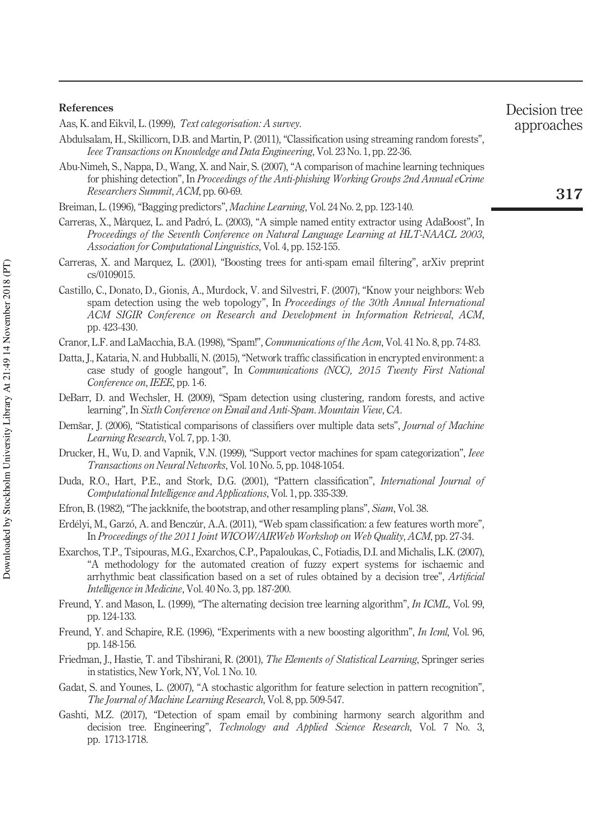#### References

Downloaded by Stockholm University Library At 21:49 14 November 2018 (PT) Downloaded by Stockholm University Library At 21:49 14 November 2018 (PT) Aas, K. and Eikvil, L. (1999), *Text categorisation: A survey*.

- Abdulsalam, H., Skillicorn, D.B. and Martin, P. (2011), "Classification using streaming random forests", *Ieee Transactions on Knowledge and Data Engineering*, Vol. 23 No. 1, pp. 22-36.
- Abu-Nimeh, S., Nappa, D., Wang, X. and Nair, S. (2007), "A comparison of machine learning techniques for phishing detection", In *Proceedings of the Anti-phishing Working Groups 2nd Annual eCrime Researchers Summit*, *ACM*, pp. 60-69.

Breiman, L. (1996),"Bagging predictors", *Machine Learning*, Vol. 24 No. 2, pp. 123-140.

- Carreras, X., Màrquez, L. and Padró, L. (2003), "A simple named entity extractor using AdaBoost", In *Proceedings of the Seventh Conference on Natural Language Learning at HLT-NAACL 2003*, *Association for Computational Linguistics*, Vol. 4, pp. 152-155.
- Carreras, X. and Marquez, L. (2001), "Boosting trees for anti-spam email filtering", arXiv preprint cs/0109015.
- Castillo, C., Donato, D., Gionis, A., Murdock, V. and Silvestri, F. (2007), "Know your neighbors: Web spam detection using the web topology", In *Proceedings of the 30th Annual International ACM SIGIR Conference on Research and Development in Information Retrieval*, *ACM*, pp. 423-430.
- Cranor, L.F. and LaMacchia, B.A. (1998),"Spam!", *Communications of the Acm*, Vol. 41 No. 8, pp. 74-83.
- Datta, J., Kataria, N. and Hubballi, N. (2015), "Network traffic classification in encrypted environment: a case study of google hangout", In *Communications (NCC), 2015 Twenty First National Conference on*, *IEEE*, pp. 1-6.
- DeBarr, D. and Wechsler, H. (2009), "Spam detection using clustering, random forests, and active learning", In *Sixth Conference on Email and Anti-Spam*. *Mountain View*, *CA*.
- Demšar, J. (2006), "Statistical comparisons of classifiers over multiple data sets", *Journal of Machine Learning Research*, Vol. 7, pp. 1-30.
- Drucker, H., Wu, D. and Vapnik, V.N. (1999), "Support vector machines for spam categorization", *Ieee Transactions on Neural Networks*, Vol. 10 No. 5, pp. 1048-1054.
- Duda, R.O., Hart, P.E., and Stork, D.G. (2001), "Pattern classification", *International Journal of Computational Intelligence and Applications*, Vol. 1, pp. 335-339.
- Efron, B. (1982),"The jackknife, the bootstrap, and other resampling plans", *Siam*, Vol. 38.
- Erdélyi, M., Garzó, A. and Benczúr, A.A. (2011), "Web spam classification: a few features worth more", In *Proceedings of the 2011 Joint WICOW/AIRWeb Workshop on Web Quality*, *ACM*, pp. 27-34.
- Exarchos, T.P., Tsipouras, M.G., Exarchos, C.P., Papaloukas, C., Fotiadis, D.I. and Michalis, L.K. (2007), "A methodology for the automated creation of fuzzy expert systems for ischaemic and arrhythmic beat classification based on a set of rules obtained by a decision tree", *Arti*fi*cial Intelligence in Medicine*, Vol. 40 No. 3, pp. 187-200.
- Freund, Y. and Mason, L. (1999), "The alternating decision tree learning algorithm", *In ICML*, Vol. 99, pp. 124-133.
- Freund, Y. and Schapire, R.E. (1996), "Experiments with a new boosting algorithm", *In Icml*, Vol. 96, pp. 148-156.
- Friedman, J., Hastie, T. and Tibshirani, R. (2001), *The Elements of Statistical Learning*, Springer series in statistics, New York, NY, Vol. 1 No. 10.
- Gadat, S. and Younes, L. (2007), "A stochastic algorithm for feature selection in pattern recognition", *The Journal of Machine Learning Research*, Vol. 8, pp. 509-547.
- Gashti, M.Z. (2017), "Detection of spam email by combining harmony search algorithm and decision tree. Engineering", *Technology and Applied Science Research*, Vol. 7 No. 3, pp. 1713-1718.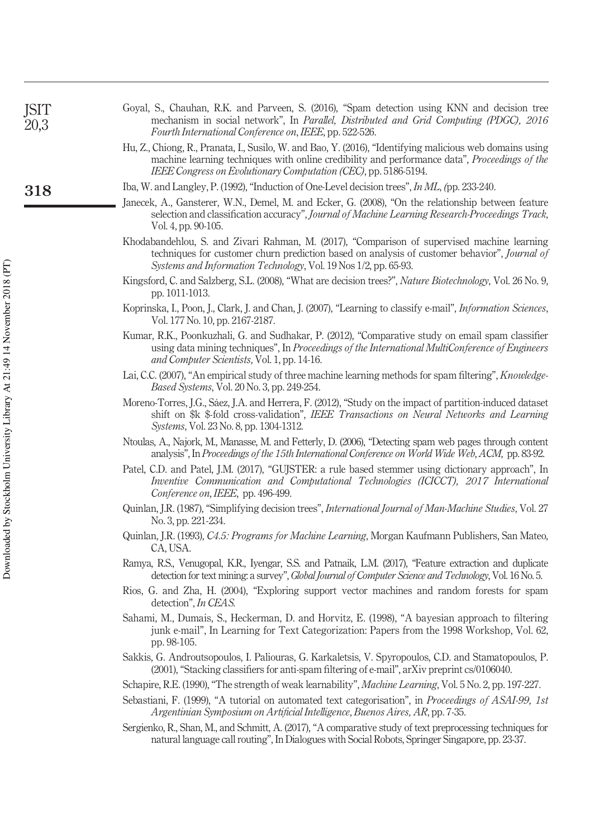| <b>JSIT</b><br>20,3 | Goyal, S., Chauhan, R.K. and Parveen, S. (2016), "Spam detection using KNN and decision tree<br>mechanism in social network", In Parallel, Distributed and Grid Computing (PDGC), 2016<br>Fourth International Conference on, IEEE, pp. 522-526.                             |
|---------------------|------------------------------------------------------------------------------------------------------------------------------------------------------------------------------------------------------------------------------------------------------------------------------|
|                     | Hu, Z., Chiong, R., Pranata, I., Susilo, W. and Bao, Y. (2016), "Identifying malicious web domains using<br>machine learning techniques with online credibility and performance data", Proceedings of the<br>IEEE Congress on Evolutionary Computation (CEC), pp. 5186-5194. |
| 318                 | Iba, W. and Langley, P. (1992), "Induction of One-Level decision trees", $In ML$ , (pp. 233-240.                                                                                                                                                                             |
|                     | Janecek, A., Gansterer, W.N., Demel, M. and Ecker, G. (2008), "On the relationship between feature<br>selection and classification accuracy", Journal of Machine Learning Research-Proceedings Track,<br>Vol. 4, pp. 90-105.                                                 |
|                     | Khodabandehlou, S. and Zivari Rahman, M. (2017), "Comparison of supervised machine learning<br>techniques for customer churn prediction based on analysis of customer behavior", Journal of<br>Systems and Information Technology, Vol. 19 Nos 1/2, pp. 65-93.               |
|                     | Kingsford, C. and Salzberg, S.L. (2008), "What are decision trees?", Nature Biotechnology, Vol. 26 No. 9,<br>pp. 1011-1013.                                                                                                                                                  |
|                     | Koprinska, I., Poon, J., Clark, J. and Chan, J. (2007), "Learning to classify e-mail", Information Sciences,<br>Vol. 177 No. 10, pp. 2167-2187.                                                                                                                              |
|                     | Kumar, R.K., Poonkuzhali, G. and Sudhakar, P. (2012), "Comparative study on email spam classifier<br>using data mining techniques", In Proceedings of the International MultiConference of Engineers<br><i>and Computer Scientists, Vol. 1, pp. 14-16.</i>                   |
|                     | Lai, C.C. (2007), "An empirical study of three machine learning methods for spam filtering", <i>Knowledge</i><br><i>Based Systems, Vol. 20 No. 3, pp. 249-254.</i>                                                                                                           |
|                     | Moreno-Torres, J.G., Sáez, J.A. and Herrera, F. (2012), "Study on the impact of partition-induced dataset<br>shift on \$k \$-fold cross-validation", IEEE Transactions on Neural Networks and Learning<br><i>Systems</i> , Vol. 23 No. 8, pp. 1304-1312.                     |
|                     | Ntoulas, A., Najork, M., Manasse, M. and Fetterly, D. (2006), "Detecting spam web pages through content<br>analysis", In Proceedings of the 15th International Conference on World Wide Web, ACM, pp. 83-92.                                                                 |
|                     | Patel, C.D. and Patel, J.M. (2017), "GUJSTER: a rule based stemmer using dictionary approach", In<br>Inventive Communication and Computational Technologies (ICICCT), 2017 International<br>Conference on, IEEE, pp. 496-499.                                                |
|                     | Quinlan, J.R. (1987), "Simplifying decision trees", International Journal of Man-Machine Studies, Vol. 27<br>No. 3, pp. 221-234.                                                                                                                                             |
|                     | Quinlan, J.R. (1993), C4.5: Programs for Machine Learning, Morgan Kaufmann Publishers, San Mateo,<br>CA, USA.                                                                                                                                                                |
|                     | Ramya, R.S., Venugopal, K.R., Iyengar, S.S. and Patnaik, L.M. (2017), "Feature extraction and duplicate<br>detection for text mining: a survey", Global Journal of Computer Science and Technology, Vol. 16 No. 5.                                                           |
|                     | Rios, G. and Zha, H. (2004), "Exploring support vector machines and random forests for spam<br>detection", In CEAS.                                                                                                                                                          |
|                     | Sahami, M., Dumais, S., Heckerman, D. and Horvitz, E. (1998), "A bayesian approach to filtering<br>junk e-mail", In Learning for Text Categorization: Papers from the 1998 Workshop, Vol. 62,<br>pp. 98-105.                                                                 |
|                     | Sakkis, G. Androutsopoulos, I. Paliouras, G. Karkaletsis, V. Spyropoulos, C.D. and Stamatopoulos, P.<br>(2001), "Stacking classifiers for anti-spam filtering of e-mail", arXiv preprint cs/0106040.                                                                         |
|                     | Schapire, R.E. (1990), "The strength of weak learnability", <i>Machine Learning</i> , Vol. 5 No. 2, pp. 197-227.                                                                                                                                                             |
|                     | Sebastiani, F. (1999), "A tutorial on automated text categorisation", in Proceedings of ASAI-99, 1st<br>Argentinian Symposium on Artificial Intelligence, Buenos Aires, AR, pp. 7-35.                                                                                        |
|                     | Sergienko, R., Shan, M., and Schmitt, A. (2017), "A comparative study of text preprocessing techniques for<br>natural language call routing", In Dialogues with Social Robots, Springer Singapore, pp. 23-37.                                                                |
|                     |                                                                                                                                                                                                                                                                              |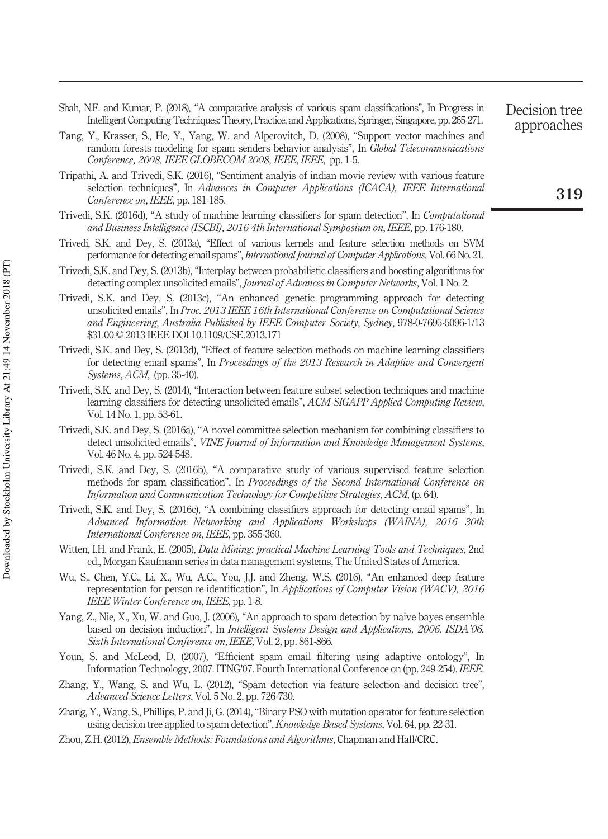- Shah, N.F. and Kumar, P. (2018), "A comparative analysis of various spam classifications", In Progress in Intelligent Computing Techniques: Theory, Practice, and Applications, Springer, Singapore, pp. 265-271.
- Tang, Y., Krasser, S., He, Y., Yang, W. and Alperovitch, D. (2008), "Support vector machines and random forests modeling for spam senders behavior analysis", In *Global Telecommunications Conference, 2008, IEEE GLOBECOM 2008, IEEE*, *IEEE*, pp. 1-5.
- Tripathi, A. and Trivedi, S.K. (2016), "Sentiment analyis of indian movie review with various feature selection techniques", In *Advances in Computer Applications (ICACA), IEEE International Conference on*, *IEEE*, pp. 181-185.
- Trivedi, S.K. (2016d), "A study of machine learning classifiers for spam detection", In *Computational and Business Intelligence (ISCBI), 2016 4th International Symposium on*, *IEEE*, pp. 176-180.
- Trivedi, S.K. and Dey, S. (2013a), "Effect of various kernels and feature selection methods on SVM performance for detecting email spams", *International Journal of Computer Applications*, Vol. 66 No. 21.
- Trivedi, S.K. and Dey, S. (2013b), "Interplay between probabilistic classifiers and boosting algorithms for detecting complex unsolicited emails", *Journal of Advances in Computer Networks*, Vol. 1 No. 2.
- Trivedi, S.K. and Dey, S. (2013c), "An enhanced genetic programming approach for detecting unsolicited emails", In *Proc. 2013 IEEE 16th International Conference on Computational Science and Engineering*, *Australia Published by IEEE Computer Society*, *Sydney*, 978-0-7695-5096-1/13 \$31.00 © 2013 IEEE DOI 10.1109/CSE.2013.171
- Trivedi, S.K. and Dey, S. (2013d), "Effect of feature selection methods on machine learning classifiers for detecting email spams", In *Proceedings of the 2013 Research in Adaptive and Convergent Systems*, *ACM*, (pp. 35-40).
- Trivedi, S.K. and Dey, S. (2014), "Interaction between feature subset selection techniques and machine learning classifiers for detecting unsolicited emails", *ACM SIGAPP Applied Computing Review*, Vol. 14 No. 1, pp. 53-61.
- Trivedi, S.K. and Dey, S. (2016a), "A novel committee selection mechanism for combining classifiers to detect unsolicited emails", *VINE Journal of Information and Knowledge Management Systems*, Vol. 46 No. 4, pp. 524-548.
- Trivedi, S.K. and Dey, S. (2016b), "A comparative study of various supervised feature selection methods for spam classification", In *Proceedings of the Second International Conference on Information and Communication Technology for Competitive Strategies*, *ACM*, (p. 64).
- Trivedi, S.K. and Dey, S. (2016c), "A combining classifiers approach for detecting email spams", In *Advanced Information Networking and Applications Workshops (WAINA), 2016 30th International Conference on*, *IEEE*, pp. 355-360.
- Witten, I.H. and Frank, E. (2005), *Data Mining: practical Machine Learning Tools and Techniques*, 2nd ed., Morgan Kaufmann series in data management systems, The United States of America.
- Wu, S., Chen, Y.C., Li, X., Wu, A.C., You, J.J. and Zheng, W.S. (2016), "An enhanced deep feature representation for person re-identification", In *Applications of Computer Vision (WACV), 2016 IEEE Winter Conference on*, *IEEE*, pp. 1-8.
- Yang, Z., Nie, X., Xu, W. and Guo, J. (2006), "An approach to spam detection by naive bayes ensemble based on decision induction", In *Intelligent Systems Design and Applications, 2006. ISDA'06. Sixth International Conference on*, *IEEE*, Vol. 2, pp. 861-866.
- Youn, S. and McLeod, D. (2007), "Efficient spam email filtering using adaptive ontology", In Information Technology, 2007. ITNG'07. Fourth International Conference on (pp. 249-254). *IEEE*.
- Zhang, Y., Wang, S. and Wu, L. (2012), "Spam detection via feature selection and decision tree", *Advanced Science Letters*, Vol. 5 No. 2, pp. 726-730.
- Zhang, Y., Wang, S., Phillips, P. and Ji, G. (2014),"Binary PSO with mutation operator for feature selection using decision tree applied to spam detection", *Knowledge-Based Systems*, Vol. 64, pp. 22-31.
- Zhou, Z.H. (2012), *Ensemble Methods: Foundations and Algorithms*, Chapman and Hall/CRC.